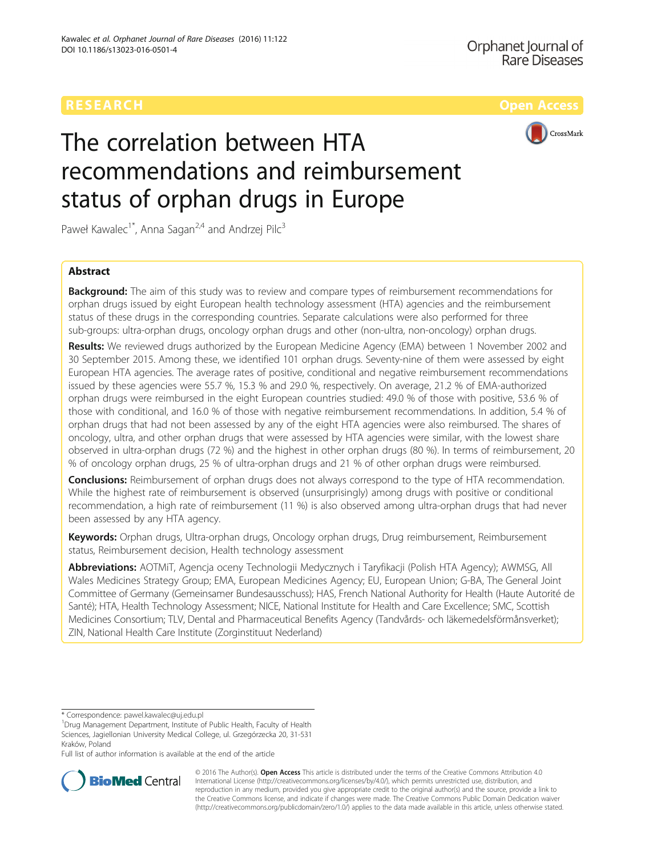# **RESEARCH CHILD CONTROL** CONTROL CONTROL CONTROL CONTROL CONTROL CONTROL CONTROL CONTROL CONTROL CONTROL CONTROL CONTROL CONTROL CONTROL CONTROL CONTROL CONTROL CONTROL CONTROL CONTROL CONTROL CONTROL CONTROL CONTROL CONTR



# The correlation between HTA recommendations and reimbursement status of orphan drugs in Europe

Paweł Kawalec<sup>1\*</sup>, Anna Sagan<sup>2,4</sup> and Andrzej Pilc<sup>3</sup>

# Abstract

**Background:** The aim of this study was to review and compare types of reimbursement recommendations for orphan drugs issued by eight European health technology assessment (HTA) agencies and the reimbursement status of these drugs in the corresponding countries. Separate calculations were also performed for three sub-groups: ultra-orphan drugs, oncology orphan drugs and other (non-ultra, non-oncology) orphan drugs.

Results: We reviewed drugs authorized by the European Medicine Agency (EMA) between 1 November 2002 and 30 September 2015. Among these, we identified 101 orphan drugs. Seventy-nine of them were assessed by eight European HTA agencies. The average rates of positive, conditional and negative reimbursement recommendations issued by these agencies were 55.7 %, 15.3 % and 29.0 %, respectively. On average, 21.2 % of EMA-authorized orphan drugs were reimbursed in the eight European countries studied: 49.0 % of those with positive, 53.6 % of those with conditional, and 16.0 % of those with negative reimbursement recommendations. In addition, 5.4 % of orphan drugs that had not been assessed by any of the eight HTA agencies were also reimbursed. The shares of oncology, ultra, and other orphan drugs that were assessed by HTA agencies were similar, with the lowest share observed in ultra-orphan drugs (72 %) and the highest in other orphan drugs (80 %). In terms of reimbursement, 20 % of oncology orphan drugs, 25 % of ultra-orphan drugs and 21 % of other orphan drugs were reimbursed.

**Conclusions:** Reimbursement of orphan drugs does not always correspond to the type of HTA recommendation. While the highest rate of reimbursement is observed (unsurprisingly) among drugs with positive or conditional recommendation, a high rate of reimbursement (11 %) is also observed among ultra-orphan drugs that had never been assessed by any HTA agency.

Keywords: Orphan drugs, Ultra-orphan drugs, Oncology orphan drugs, Drug reimbursement, Reimbursement status, Reimbursement decision, Health technology assessment

Abbreviations: AOTMiT, Agencja oceny Technologii Medycznych i Taryfikacji (Polish HTA Agency); AWMSG, All Wales Medicines Strategy Group; EMA, European Medicines Agency; EU, European Union; G-BA, The General Joint Committee of Germany (Gemeinsamer Bundesausschuss); HAS, French National Authority for Health (Haute Autorité de Santé); HTA, Health Technology Assessment; NICE, National Institute for Health and Care Excellence; SMC, Scottish Medicines Consortium; TLV, Dental and Pharmaceutical Benefits Agency (Tandvårds- och läkemedelsförmånsverket); ZIN, National Health Care Institute (Zorginstituut Nederland)

Full list of author information is available at the end of the article



© 2016 The Author(s). Open Access This article is distributed under the terms of the Creative Commons Attribution 4.0 International License [\(http://creativecommons.org/licenses/by/4.0/](http://creativecommons.org/licenses/by/4.0/)), which permits unrestricted use, distribution, and reproduction in any medium, provided you give appropriate credit to the original author(s) and the source, provide a link to the Creative Commons license, and indicate if changes were made. The Creative Commons Public Domain Dedication waiver [\(http://creativecommons.org/publicdomain/zero/1.0/](http://creativecommons.org/publicdomain/zero/1.0/)) applies to the data made available in this article, unless otherwise stated.

<sup>\*</sup> Correspondence: [pawel.kawalec@uj.edu.pl](mailto:pawel.kawalec@uj.edu.pl) <sup>1</sup>

<sup>&</sup>lt;sup>1</sup>Drug Management Department, Institute of Public Health, Faculty of Health Sciences, Jagiellonian University Medical College, ul. Grzegórzecka 20, 31-531 Kraków, Poland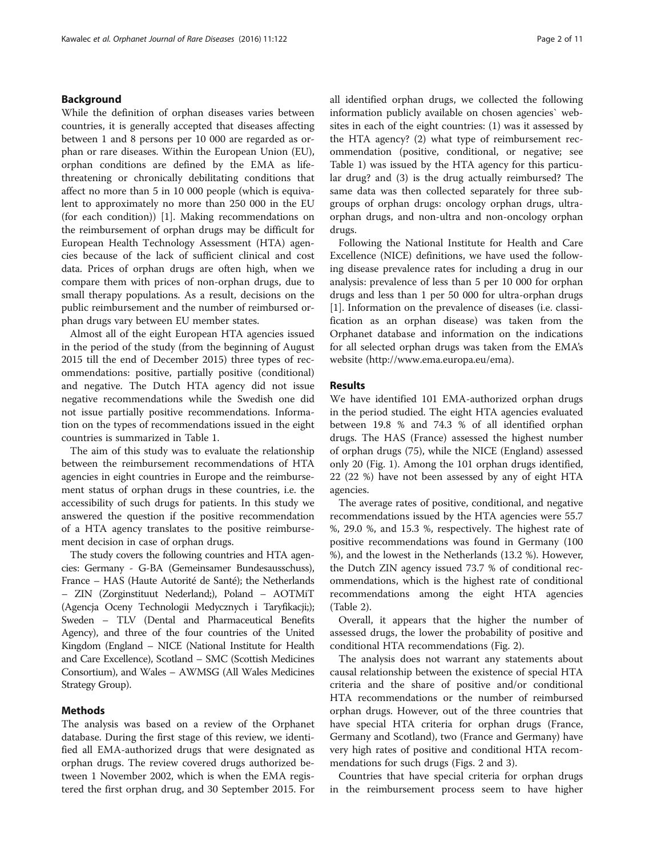## Background

While the definition of orphan diseases varies between countries, it is generally accepted that diseases affecting between 1 and 8 persons per 10 000 are regarded as orphan or rare diseases. Within the European Union (EU), orphan conditions are defined by the EMA as lifethreatening or chronically debilitating conditions that affect no more than 5 in 10 000 people (which is equivalent to approximately no more than 250 000 in the EU (for each condition)) [[1\]](#page-10-0). Making recommendations on the reimbursement of orphan drugs may be difficult for European Health Technology Assessment (HTA) agencies because of the lack of sufficient clinical and cost data. Prices of orphan drugs are often high, when we compare them with prices of non-orphan drugs, due to small therapy populations. As a result, decisions on the public reimbursement and the number of reimbursed orphan drugs vary between EU member states.

Almost all of the eight European HTA agencies issued in the period of the study (from the beginning of August 2015 till the end of December 2015) three types of recommendations: positive, partially positive (conditional) and negative. The Dutch HTA agency did not issue negative recommendations while the Swedish one did not issue partially positive recommendations. Information on the types of recommendations issued in the eight countries is summarized in Table [1.](#page-2-0)

The aim of this study was to evaluate the relationship between the reimbursement recommendations of HTA agencies in eight countries in Europe and the reimbursement status of orphan drugs in these countries, i.e. the accessibility of such drugs for patients. In this study we answered the question if the positive recommendation of a HTA agency translates to the positive reimbursement decision in case of orphan drugs.

The study covers the following countries and HTA agencies: Germany - G-BA (Gemeinsamer Bundesausschuss), France – HAS (Haute Autorité de Santé); the Netherlands – ZIN (Zorginstituut Nederland;), Poland – AOTMiT (Agencja Oceny Technologii Medycznych i Taryfikacji;); Sweden – TLV (Dental and Pharmaceutical Benefits Agency), and three of the four countries of the United Kingdom (England – NICE (National Institute for Health and Care Excellence), Scotland – SMC (Scottish Medicines Consortium), and Wales – AWMSG (All Wales Medicines Strategy Group).

## Methods

The analysis was based on a review of the Orphanet database. During the first stage of this review, we identified all EMA-authorized drugs that were designated as orphan drugs. The review covered drugs authorized between 1 November 2002, which is when the EMA registered the first orphan drug, and 30 September 2015. For all identified orphan drugs, we collected the following information publicly available on chosen agencies` websites in each of the eight countries: (1) was it assessed by the HTA agency? (2) what type of reimbursement recommendation (positive, conditional, or negative; see Table [1](#page-2-0)) was issued by the HTA agency for this particular drug? and (3) is the drug actually reimbursed? The same data was then collected separately for three subgroups of orphan drugs: oncology orphan drugs, ultraorphan drugs, and non-ultra and non-oncology orphan drugs.

Following the National Institute for Health and Care Excellence (NICE) definitions, we have used the following disease prevalence rates for including a drug in our analysis: prevalence of less than 5 per 10 000 for orphan drugs and less than 1 per 50 000 for ultra-orphan drugs [[1\]](#page-10-0). Information on the prevalence of diseases (i.e. classification as an orphan disease) was taken from the Orphanet database and information on the indications for all selected orphan drugs was taken from the EMA's website [\(http://www.ema.europa.eu/ema\)](http://www.ema.europa.eu/ema).

## Results

We have identified 101 EMA-authorized orphan drugs in the period studied. The eight HTA agencies evaluated between 19.8 % and 74.3 % of all identified orphan drugs. The HAS (France) assessed the highest number of orphan drugs (75), while the NICE (England) assessed only 20 (Fig. [1](#page-2-0)). Among the 101 orphan drugs identified, 22 (22 %) have not been assessed by any of eight HTA agencies.

The average rates of positive, conditional, and negative recommendations issued by the HTA agencies were 55.7 %, 29.0 %, and 15.3 %, respectively. The highest rate of positive recommendations was found in Germany (100 %), and the lowest in the Netherlands (13.2 %). However, the Dutch ZIN agency issued 73.7 % of conditional recommendations, which is the highest rate of conditional recommendations among the eight HTA agencies (Table [2\)](#page-3-0).

Overall, it appears that the higher the number of assessed drugs, the lower the probability of positive and conditional HTA recommendations (Fig. [2\)](#page-4-0).

The analysis does not warrant any statements about causal relationship between the existence of special HTA criteria and the share of positive and/or conditional HTA recommendations or the number of reimbursed orphan drugs. However, out of the three countries that have special HTA criteria for orphan drugs (France, Germany and Scotland), two (France and Germany) have very high rates of positive and conditional HTA recommendations for such drugs (Figs. [2](#page-4-0) and [3](#page-4-0)).

Countries that have special criteria for orphan drugs in the reimbursement process seem to have higher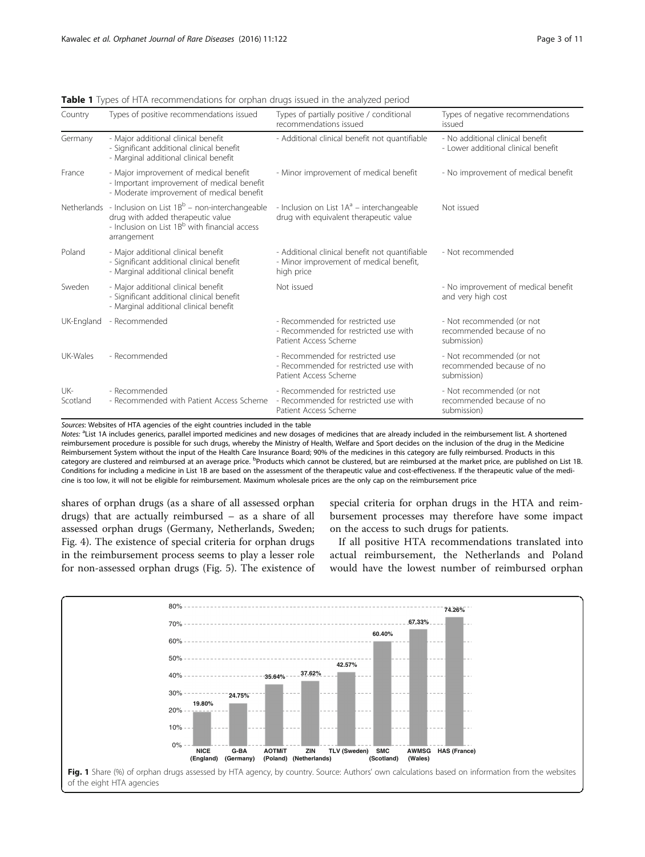| Country         | Types of positive recommendations issued                                                                                                                                     | Types of partially positive / conditional<br>recommendations issued                                     | Types of negative recommendations<br>issued                             |  |  |  |
|-----------------|------------------------------------------------------------------------------------------------------------------------------------------------------------------------------|---------------------------------------------------------------------------------------------------------|-------------------------------------------------------------------------|--|--|--|
| Germany         | - Major additional clinical benefit<br>- Significant additional clinical benefit<br>- Marginal additional clinical benefit                                                   | - Additional clinical benefit not quantifiable                                                          | - No additional clinical benefit<br>- Lower additional clinical benefit |  |  |  |
| France          | - Major improvement of medical benefit<br>- Important improvement of medical benefit<br>- Moderate improvement of medical benefit                                            | - Minor improvement of medical benefit                                                                  | - No improvement of medical benefit                                     |  |  |  |
|                 | Netherlands - Inclusion on List $1Bb$ – non-interchangeable<br>drug with added therapeutic value<br>- Inclusion on List 1B <sup>b</sup> with financial access<br>arrangement | - Inclusion on List $1A^a$ – interchangeable<br>drug with equivalent therapeutic value                  | Not issued                                                              |  |  |  |
| Poland          | - Major additional clinical benefit<br>- Significant additional clinical benefit<br>- Marginal additional clinical benefit                                                   | - Additional clinical benefit not quantifiable<br>- Minor improvement of medical benefit,<br>high price | - Not recommended                                                       |  |  |  |
| Sweden          | - Major additional clinical benefit<br>- Significant additional clinical benefit<br>- Marginal additional clinical benefit                                                   | Not issued                                                                                              | - No improvement of medical benefit<br>and very high cost               |  |  |  |
| UK-England      | - Recommended                                                                                                                                                                | - Recommended for restricted use<br>- Recommended for restricted use with<br>Patient Access Scheme      | - Not recommended (or not<br>recommended because of no<br>submission)   |  |  |  |
| UK-Wales        | - Recommended                                                                                                                                                                | - Recommended for restricted use<br>- Recommended for restricted use with<br>Patient Access Scheme      | - Not recommended (or not<br>recommended because of no<br>submission)   |  |  |  |
| UK-<br>Scotland | - Recommended<br>- Recommended with Patient Access Scheme                                                                                                                    | - Recommended for restricted use<br>- Recommended for restricted use with<br>Patient Access Scheme      | - Not recommended (or not<br>recommended because of no<br>submission)   |  |  |  |

<span id="page-2-0"></span>Table 1 Types of HTA recommendations for orphan drugs issued in the analyzed period

Sources: Websites of HTA agencies of the eight countries included in the table

Notes: <sup>a</sup>List 1A includes generics, parallel imported medicines and new dosages of medicines that are already included in the reimbursement list. A shortened reimbursement procedure is possible for such drugs, whereby the Ministry of Health, Welfare and Sport decides on the inclusion of the drug in the Medicine Reimbursement System without the input of the Health Care Insurance Board; 90% of the medicines in this category are fully reimbursed. Products in this category are clustered and reimbursed at an average price. <sup>b</sup>Products which cannot be clustered, but are reimbursed at the market price, are published on List 1B. Conditions for including a medicine in List 1B are based on the assessment of the therapeutic value and cost-effectiveness. If the therapeutic value of the medicine is too low, it will not be eligible for reimbursement. Maximum wholesale prices are the only cap on the reimbursement price

shares of orphan drugs (as a share of all assessed orphan drugs) that are actually reimbursed – as a share of all assessed orphan drugs (Germany, Netherlands, Sweden; Fig. [4](#page-5-0)). The existence of special criteria for orphan drugs in the reimbursement process seems to play a lesser role for non-assessed orphan drugs (Fig. [5](#page-5-0)). The existence of special criteria for orphan drugs in the HTA and reimbursement processes may therefore have some impact on the access to such drugs for patients.

If all positive HTA recommendations translated into actual reimbursement, the Netherlands and Poland would have the lowest number of reimbursed orphan

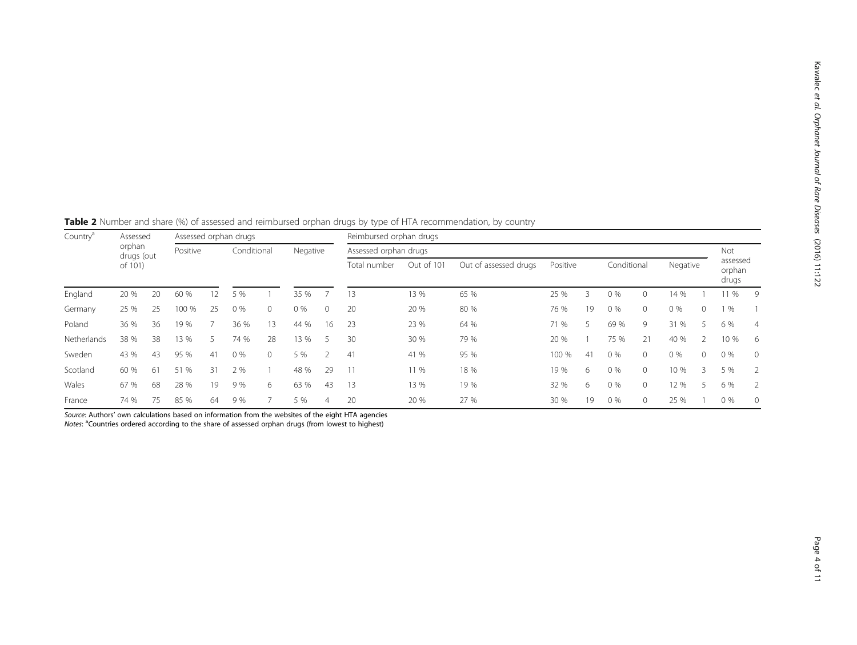<span id="page-3-0"></span>Table 2 Number and share (%) of assessed and reimbursed orphan drugs by type of HTA recommendation, by country

| Country <sup>a</sup> | Assessed<br>orphan<br>drugs (out<br>of 101) |    | Assessed orphan drugs |    |             |          |          |                          | Reimbursed orphan drugs |            |                       |          |    |             |              |          |          |                             |                |
|----------------------|---------------------------------------------|----|-----------------------|----|-------------|----------|----------|--------------------------|-------------------------|------------|-----------------------|----------|----|-------------|--------------|----------|----------|-----------------------------|----------------|
|                      |                                             |    | Positive              |    | Conditional |          | Negative |                          | Assessed orphan drugs   |            |                       |          |    |             |              |          |          | Not                         |                |
|                      |                                             |    |                       |    |             |          |          |                          | Total number            | Out of 101 | Out of assessed drugs | Positive |    | Conditional |              | Negative |          | assessed<br>orphan<br>drugs |                |
| England              | 20 %                                        | 20 | 60 %                  | 12 | 5 %         |          | 35 %     |                          | 13                      | 13 %       | 65 %                  | 25 %     | 3  | $0\%$       | $\mathbf{0}$ | 14 %     |          | 1%                          | 9              |
| Germany              | 25 %                                        | 25 | 100 %                 | 25 | 0%          | $\circ$  | $0\%$    | 0                        | 20                      | 20 %       | 80 %                  | 76 %     | 19 | $0\%$       | $\mathbf{0}$ | $0\%$    | $\Omega$ | $\%$                        |                |
| Poland               | 36 %                                        | 36 | 19 %                  |    | 36 %        | 13       | 44 %     | 16                       | 23                      | 23 %       | 64 %                  | 71 %     | 5  | 69 %        | 9            | 31 %     |          | 6 %                         | $\overline{4}$ |
| Netherlands          | 38 %                                        | 38 | 13 %                  | 5  | 74 %        | 28       | 13 %     | $\overline{\phantom{a}}$ | 30                      | 30 %       | 79 %                  | 20 %     |    | 75 %        | 21           | 40 %     |          | 10 %                        | 6              |
| Sweden               | 43 %                                        | 43 | 95 %                  | 41 | 0%          | $\Omega$ | 5 %      |                          | 41                      | 41 %       | 95 %                  | 100 %    | 41 | $0\%$       | $\mathbf{0}$ | $0\%$    | $\Omega$ | 0%                          | $\overline{0}$ |
| Scotland             | 60 %                                        | 61 | 51 %                  | 31 | 2 %         |          | 48 %     | 29                       | 11                      | 11 %       | 18 %                  | 19 %     | 6  | 0%          | $\mathbf{0}$ | 10 %     | 3        | 5 %                         | 2              |
| Wales                | 67 %                                        | 68 | 28 %                  | 19 | 9%          | 6        | 63 %     | 43                       | 13                      | 13 %       | 19 %                  | 32 %     | 6  | $0\%$       | $\Omega$     | 12 %     |          | 6 %                         | 2              |
| France               | 74 %                                        | 75 | 85 %                  | 64 | 9 %         |          | 5 %      | 4                        | 20                      | 20 %       | 27 %                  | 30 %     | 19 | $0\%$       | $\circ$      | 25 %     |          | 0%                          | $\overline{0}$ |

Source: Authors' own calculations based on information from the websites of the eight HTA agencies<br>Notes: <sup>a</sup>Countries ordered according to the share of assessed orphan drugs (from lowest to highest)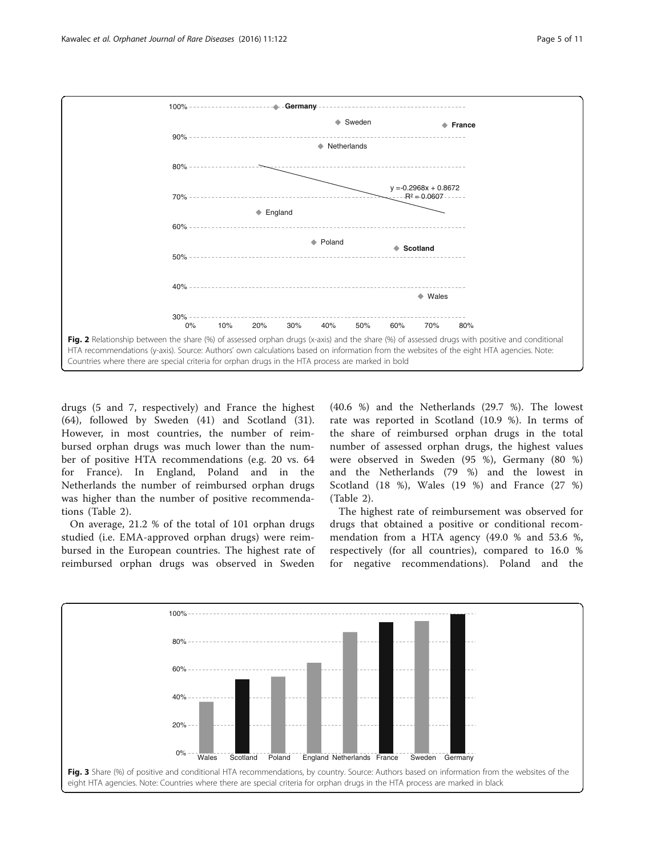<span id="page-4-0"></span>

drugs (5 and 7, respectively) and France the highest (64), followed by Sweden (41) and Scotland (31). However, in most countries, the number of reimbursed orphan drugs was much lower than the number of positive HTA recommendations (e.g. 20 vs. 64 for France). In England, Poland and in the Netherlands the number of reimbursed orphan drugs was higher than the number of positive recommendations (Table [2\)](#page-3-0).

On average, 21.2 % of the total of 101 orphan drugs studied (i.e. EMA-approved orphan drugs) were reimbursed in the European countries. The highest rate of reimbursed orphan drugs was observed in Sweden

(40.6 %) and the Netherlands (29.7 %). The lowest rate was reported in Scotland (10.9 %). In terms of the share of reimbursed orphan drugs in the total number of assessed orphan drugs, the highest values were observed in Sweden (95 %), Germany (80 %) and the Netherlands (79 %) and the lowest in Scotland (18 %), Wales (19 %) and France (27 %) (Table [2\)](#page-3-0).

The highest rate of reimbursement was observed for drugs that obtained a positive or conditional recommendation from a HTA agency (49.0 % and 53.6 %, respectively (for all countries), compared to 16.0 % for negative recommendations). Poland and the

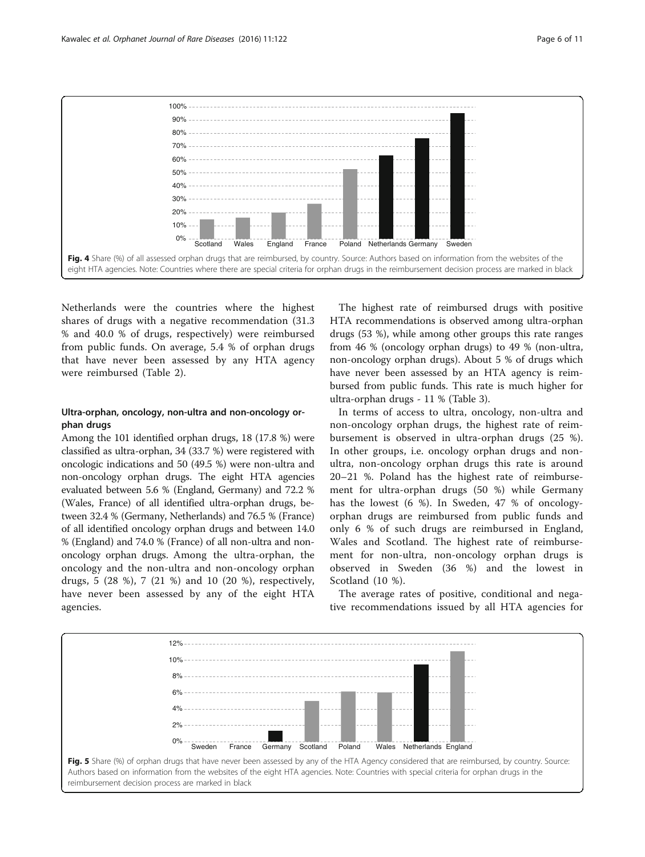<span id="page-5-0"></span>

Netherlands were the countries where the highest shares of drugs with a negative recommendation (31.3 % and 40.0 % of drugs, respectively) were reimbursed from public funds. On average, 5.4 % of orphan drugs that have never been assessed by any HTA agency were reimbursed (Table [2](#page-3-0)).

# Ultra-orphan, oncology, non-ultra and non-oncology orphan drugs

Among the 101 identified orphan drugs, 18 (17.8 %) were classified as ultra-orphan, 34 (33.7 %) were registered with oncologic indications and 50 (49.5 %) were non-ultra and non-oncology orphan drugs. The eight HTA agencies evaluated between 5.6 % (England, Germany) and 72.2 % (Wales, France) of all identified ultra-orphan drugs, between 32.4 % (Germany, Netherlands) and 76.5 % (France) of all identified oncology orphan drugs and between 14.0 % (England) and 74.0 % (France) of all non-ultra and nononcology orphan drugs. Among the ultra-orphan, the oncology and the non-ultra and non-oncology orphan drugs, 5 (28 %), 7 (21 %) and 10 (20 %), respectively, have never been assessed by any of the eight HTA agencies.

The highest rate of reimbursed drugs with positive HTA recommendations is observed among ultra-orphan drugs (53 %), while among other groups this rate ranges from 46 % (oncology orphan drugs) to 49 % (non-ultra, non-oncology orphan drugs). About 5 % of drugs which have never been assessed by an HTA agency is reimbursed from public funds. This rate is much higher for ultra-orphan drugs - 11 % (Table [3\)](#page-6-0).

In terms of access to ultra, oncology, non-ultra and non-oncology orphan drugs, the highest rate of reimbursement is observed in ultra-orphan drugs (25 %). In other groups, i.e. oncology orphan drugs and nonultra, non-oncology orphan drugs this rate is around 20–21 %. Poland has the highest rate of reimbursement for ultra-orphan drugs (50 %) while Germany has the lowest (6 %). In Sweden, 47 % of oncologyorphan drugs are reimbursed from public funds and only 6 % of such drugs are reimbursed in England, Wales and Scotland. The highest rate of reimbursement for non-ultra, non-oncology orphan drugs is observed in Sweden (36 %) and the lowest in Scotland (10 %).

The average rates of positive, conditional and negative recommendations issued by all HTA agencies for

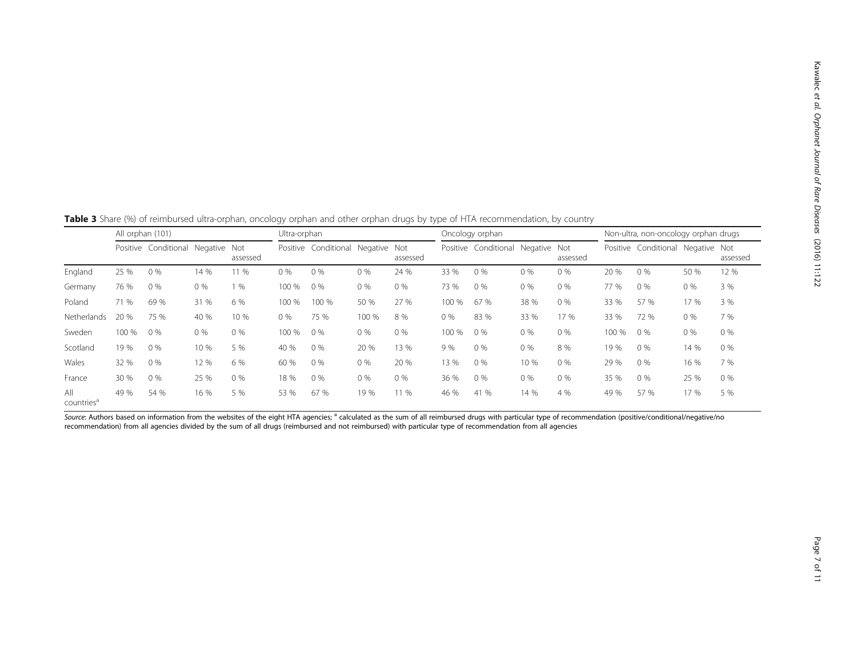<span id="page-6-0"></span>Table 3 Share (%) of reimbursed ultra-orphan, oncology orphan and other orphan drugs by type of HTA recommendation, by country

|                               | All orphan (101) |                                   |       |          | Ultra-orphan |                                   |       |          |       | Oncology orphan                   |       |          | Non-ultra, non-oncology orphan drugs |                                   |      |          |  |
|-------------------------------|------------------|-----------------------------------|-------|----------|--------------|-----------------------------------|-------|----------|-------|-----------------------------------|-------|----------|--------------------------------------|-----------------------------------|------|----------|--|
|                               |                  | Positive Conditional Negative Not |       | assessed |              | Positive Conditional Negative Not |       | assessed |       | Positive Conditional Negative Not |       | assessed |                                      | Positive Conditional Negative Not |      | assessed |  |
| England                       | 25 %             | $0\%$                             | 14 %  | 11 %     | 0%           | 0%                                | $0\%$ | 24 %     | 33 %  | $0\%$                             | 0%    | $0\%$    | 20 %                                 | $0\%$                             | 50 % | 12 %     |  |
| Germany                       | 76 %             | $0\%$                             | 0%    | 1%       | 100 %        | $0\%$                             | $0\%$ | $0\%$    | 73 %  | $0\%$                             | $0\%$ | $0\%$    | 77 %                                 | $0\%$                             | 0%   | 3 %      |  |
| Poland                        | 71 %             | 69 %                              | 31 %  | 6 %      | 100 %        | 100 %                             | 50 %  | 27 %     | 100 % | 67 %                              | 38 %  | $0\%$    | 33 %                                 | 57 %                              | 17 % | 3 %      |  |
| Netherlands                   | 20 %             | 75 %                              | 40 %  | 10 %     | 0%           | 75 %                              | 100 % | 8 %      | $0\%$ | 83 %                              | 33 %  | 17 %     | 33 %                                 | 72 %                              | 0%   | 7 %      |  |
| Sweden                        | 100 %            | 0%                                | $0\%$ | $0\%$    | 100 %        | $0\%$                             | $0\%$ | $0\%$    | 100 % | $0\%$                             | $0\%$ | $0\%$    | 100 %                                | 0%                                | 0%   | 0%       |  |
| Scotland                      | 19 %             | $0\%$                             | 10 %  | 5 %      | 40 %         | $0\%$                             | 20 %  | 13 %     | 9 %   | 0%                                | $0\%$ | 8 %      | 19 %                                 | $0\%$                             | 14 % | $0\%$    |  |
| Wales                         | 32 %             | $0\%$                             | 12 %  | 6 %      | 60 %         | $0\%$                             | $0\%$ | 20 %     | 13 %  | $0\%$                             | 10 %  | 0%       | 29 %                                 | $0\%$                             | 16 % | 7 %      |  |
| France                        | 30 %             | $0\%$                             | 25 %  | 0%       | 18 %         | $0\%$                             | $0\%$ | $0\%$    | 36 %  | $0\%$                             | $0\%$ | $0\%$    | 35 %                                 | 0 %                               | 25 % | $0\%$    |  |
| All<br>countries <sup>a</sup> | 49 %             | 54 %                              | 16 %  | 5 %      | 53 %         | 67 %                              | 19 %  | 11 %     | 46 %  | 41 %                              | 14 %  | 4 %      | 49 %                                 | 57 %                              | 17 % | 5 %      |  |

Source: Authors based on information from the websites of the eight HTA agencies; <sup>a</sup> calculated as the sum of all reimbursed drugs with particular type of recommendation (positive/conditional/negative/no recommendation) from all agencies divided by the sum of all drugs (reimbursed and not reimbursed) with particular type of recommendation from all agencies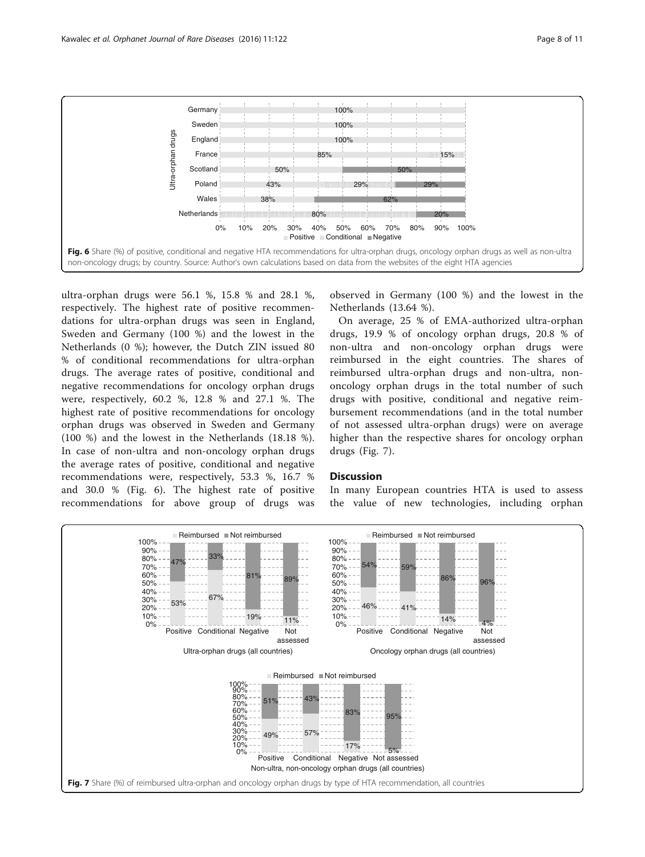

ultra-orphan drugs were 56.1 %, 15.8 % and 28.1 %, respectively. The highest rate of positive recommendations for ultra-orphan drugs was seen in England, Sweden and Germany (100 %) and the lowest in the Netherlands (0 %); however, the Dutch ZIN issued 80 % of conditional recommendations for ultra-orphan drugs. The average rates of positive, conditional and negative recommendations for oncology orphan drugs were, respectively, 60.2 %, 12.8 % and 27.1 %. The highest rate of positive recommendations for oncology orphan drugs was observed in Sweden and Germany (100 %) and the lowest in the Netherlands (18.18 %). In case of non-ultra and non-oncology orphan drugs the average rates of positive, conditional and negative recommendations were, respectively, 53.3 %, 16.7 % and 30.0 % (Fig. 6). The highest rate of positive recommendations for above group of drugs was

observed in Germany (100 %) and the lowest in the Netherlands (13.64 %).

On average, 25 % of EMA-authorized ultra-orphan drugs, 19.9 % of oncology orphan drugs, 20.8 % of non-ultra and non-oncology orphan drugs were reimbursed in the eight countries. The shares of reimbursed ultra-orphan drugs and non-ultra, nononcology orphan drugs in the total number of such drugs with positive, conditional and negative reimbursement recommendations (and in the total number of not assessed ultra-orphan drugs) were on average higher than the respective shares for oncology orphan drugs (Fig. 7).

#### **Discussion**

In many European countries HTA is used to assess the value of new technologies, including orphan

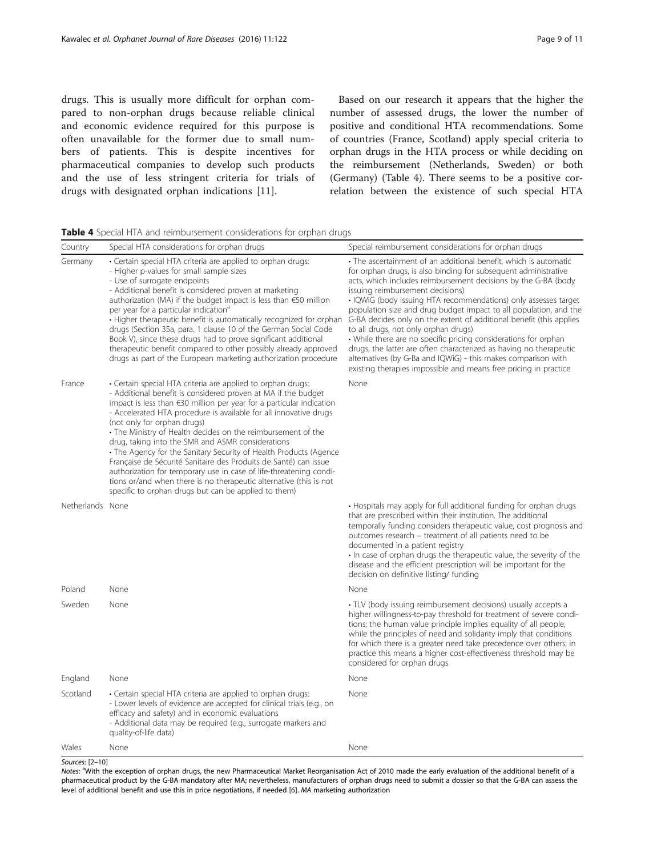drugs. This is usually more difficult for orphan compared to non-orphan drugs because reliable clinical and economic evidence required for this purpose is often unavailable for the former due to small numbers of patients. This is despite incentives for pharmaceutical companies to develop such products and the use of less stringent criteria for trials of drugs with designated orphan indications [\[11](#page-10-0)].

Based on our research it appears that the higher the number of assessed drugs, the lower the number of positive and conditional HTA recommendations. Some of countries (France, Scotland) apply special criteria to orphan drugs in the HTA process or while deciding on the reimbursement (Netherlands, Sweden) or both (Germany) (Table 4). There seems to be a positive correlation between the existence of such special HTA

Table 4 Special HTA and reimbursement considerations for orphan drugs

| Country          | Special HTA considerations for orphan drugs                                                                                                                                                                                                                                                                                                                                                                                                                                                                                                                                                                                                                                                                                                                                          | Special reimbursement considerations for orphan drugs                                                                                                                                                                                                                                                                                                                                                                                                                                                                                                                                                                                                                                                                                                                          |
|------------------|--------------------------------------------------------------------------------------------------------------------------------------------------------------------------------------------------------------------------------------------------------------------------------------------------------------------------------------------------------------------------------------------------------------------------------------------------------------------------------------------------------------------------------------------------------------------------------------------------------------------------------------------------------------------------------------------------------------------------------------------------------------------------------------|--------------------------------------------------------------------------------------------------------------------------------------------------------------------------------------------------------------------------------------------------------------------------------------------------------------------------------------------------------------------------------------------------------------------------------------------------------------------------------------------------------------------------------------------------------------------------------------------------------------------------------------------------------------------------------------------------------------------------------------------------------------------------------|
| Germany          | • Certain special HTA criteria are applied to orphan drugs:<br>- Higher p-values for small sample sizes<br>- Use of surrogate endpoints<br>- Additional benefit is considered proven at marketing<br>authorization (MA) if the budget impact is less than $\epsilon$ 50 million<br>per year for a particular indication <sup>d</sup><br>• Higher therapeutic benefit is automatically recognized for orphan<br>drugs (Section 35a, para. 1 clause 10 of the German Social Code<br>Book V), since these drugs had to prove significant additional<br>therapeutic benefit compared to other possibly already approved<br>drugs as part of the European marketing authorization procedure                                                                                               | • The ascertainment of an additional benefit, which is automatic<br>for orphan drugs, is also binding for subsequent administrative<br>acts, which includes reimbursement decisions by the G-BA (body<br>issuing reimbursement decisions)<br>• IQWiG (body issuing HTA recommendations) only assesses target<br>population size and drug budget impact to all population, and the<br>G-BA decides only on the extent of additional benefit (this applies<br>to all drugs, not only orphan drugs)<br>• While there are no specific pricing considerations for orphan<br>drugs, the latter are often characterized as having no therapeutic<br>alternatives (by G-Ba and IQWiG) - this makes comparison with<br>existing therapies impossible and means free pricing in practice |
| France           | • Certain special HTA criteria are applied to orphan drugs:<br>- Additional benefit is considered proven at MA if the budget<br>impact is less than $\epsilon$ 30 million per year for a particular indication<br>- Accelerated HTA procedure is available for all innovative drugs<br>(not only for orphan drugs)<br>• The Ministry of Health decides on the reimbursement of the<br>drug, taking into the SMR and ASMR considerations<br>• The Agency for the Sanitary Security of Health Products (Agence<br>Française de Sécurité Sanitaire des Produits de Santé) can issue<br>authorization for temporary use in case of life-threatening condi-<br>tions or/and when there is no therapeutic alternative (this is not<br>specific to orphan drugs but can be applied to them) | None                                                                                                                                                                                                                                                                                                                                                                                                                                                                                                                                                                                                                                                                                                                                                                           |
| Netherlands None |                                                                                                                                                                                                                                                                                                                                                                                                                                                                                                                                                                                                                                                                                                                                                                                      | • Hospitals may apply for full additional funding for orphan drugs<br>that are prescribed within their institution. The additional<br>temporally funding considers therapeutic value, cost prognosis and<br>outcomes research – treatment of all patients need to be<br>documented in a patient registry<br>. In case of orphan drugs the therapeutic value, the severity of the<br>disease and the efficient prescription will be important for the<br>decision on definitive listing/funding                                                                                                                                                                                                                                                                                 |
| Poland           | None                                                                                                                                                                                                                                                                                                                                                                                                                                                                                                                                                                                                                                                                                                                                                                                 | None                                                                                                                                                                                                                                                                                                                                                                                                                                                                                                                                                                                                                                                                                                                                                                           |
| Sweden           | None                                                                                                                                                                                                                                                                                                                                                                                                                                                                                                                                                                                                                                                                                                                                                                                 | • TLV (body issuing reimbursement decisions) usually accepts a<br>higher willingness-to-pay threshold for treatment of severe condi-<br>tions; the human value principle implies equality of all people,<br>while the principles of need and solidarity imply that conditions<br>for which there is a greater need take precedence over others; in<br>practice this means a higher cost-effectiveness threshold may be<br>considered for orphan drugs                                                                                                                                                                                                                                                                                                                          |
| England          | None                                                                                                                                                                                                                                                                                                                                                                                                                                                                                                                                                                                                                                                                                                                                                                                 | None                                                                                                                                                                                                                                                                                                                                                                                                                                                                                                                                                                                                                                                                                                                                                                           |
| Scotland         | • Certain special HTA criteria are applied to orphan drugs:<br>- Lower levels of evidence are accepted for clinical trials (e.g., on<br>efficacy and safety) and in economic evaluations<br>- Additional data may be required (e.g., surrogate markers and<br>quality-of-life data)                                                                                                                                                                                                                                                                                                                                                                                                                                                                                                  | None                                                                                                                                                                                                                                                                                                                                                                                                                                                                                                                                                                                                                                                                                                                                                                           |
| Wales            | None                                                                                                                                                                                                                                                                                                                                                                                                                                                                                                                                                                                                                                                                                                                                                                                 | None                                                                                                                                                                                                                                                                                                                                                                                                                                                                                                                                                                                                                                                                                                                                                                           |

## Sources: [[2](#page-10-0)–[10\]](#page-10-0)

Notes: <sup>a</sup>With the exception of orphan drugs, the new Pharmaceutical Market Reorganisation Act of 2010 made the early evaluation of the additional benefit of a pharmaceutical product by the G-BA mandatory after MA; nevertheless, manufacturers of orphan drugs need to submit a dossier so that the G-BA can assess the level of additional benefit and use this in price negotiations, if needed [\[6\]](#page-10-0). MA marketing authorization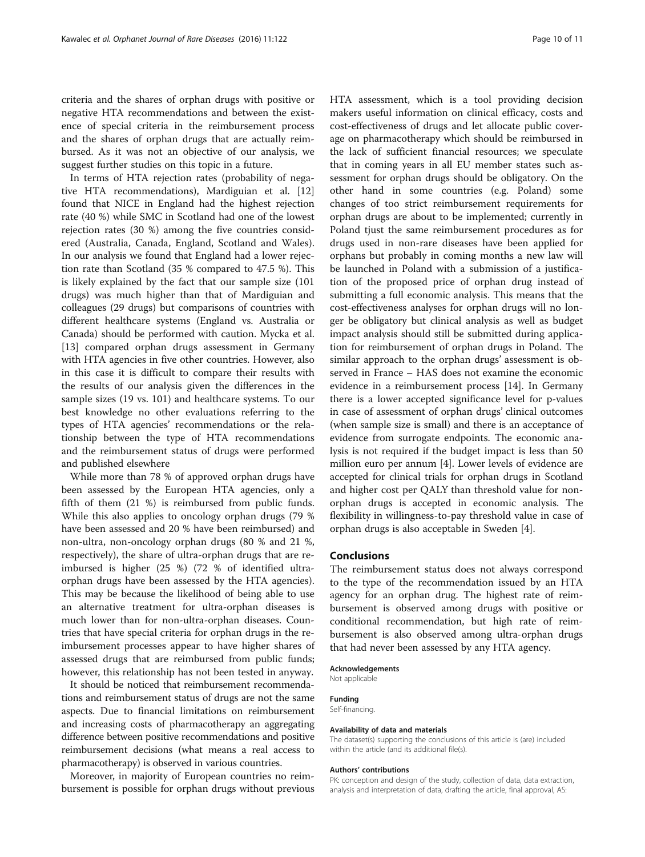criteria and the shares of orphan drugs with positive or negative HTA recommendations and between the existence of special criteria in the reimbursement process and the shares of orphan drugs that are actually reimbursed. As it was not an objective of our analysis, we suggest further studies on this topic in a future.

In terms of HTA rejection rates (probability of negative HTA recommendations), Mardiguian et al. [[12](#page-10-0)] found that NICE in England had the highest rejection rate (40 %) while SMC in Scotland had one of the lowest rejection rates (30 %) among the five countries considered (Australia, Canada, England, Scotland and Wales). In our analysis we found that England had a lower rejection rate than Scotland (35 % compared to 47.5 %). This is likely explained by the fact that our sample size (101 drugs) was much higher than that of Mardiguian and colleagues (29 drugs) but comparisons of countries with different healthcare systems (England vs. Australia or Canada) should be performed with caution. Mycka et al. [[13\]](#page-10-0) compared orphan drugs assessment in Germany with HTA agencies in five other countries. However, also in this case it is difficult to compare their results with the results of our analysis given the differences in the sample sizes (19 vs. 101) and healthcare systems. To our best knowledge no other evaluations referring to the types of HTA agencies' recommendations or the relationship between the type of HTA recommendations and the reimbursement status of drugs were performed and published elsewhere

While more than 78 % of approved orphan drugs have been assessed by the European HTA agencies, only a fifth of them (21 %) is reimbursed from public funds. While this also applies to oncology orphan drugs (79 % have been assessed and 20 % have been reimbursed) and non-ultra, non-oncology orphan drugs (80 % and 21 %, respectively), the share of ultra-orphan drugs that are reimbursed is higher (25 %) (72 % of identified ultraorphan drugs have been assessed by the HTA agencies). This may be because the likelihood of being able to use an alternative treatment for ultra-orphan diseases is much lower than for non-ultra-orphan diseases. Countries that have special criteria for orphan drugs in the reimbursement processes appear to have higher shares of assessed drugs that are reimbursed from public funds; however, this relationship has not been tested in anyway.

It should be noticed that reimbursement recommendations and reimbursement status of drugs are not the same aspects. Due to financial limitations on reimbursement and increasing costs of pharmacotherapy an aggregating difference between positive recommendations and positive reimbursement decisions (what means a real access to pharmacotherapy) is observed in various countries.

Moreover, in majority of European countries no reimbursement is possible for orphan drugs without previous HTA assessment, which is a tool providing decision makers useful information on clinical efficacy, costs and cost-effectiveness of drugs and let allocate public coverage on pharmacotherapy which should be reimbursed in the lack of sufficient financial resources; we speculate that in coming years in all EU member states such assessment for orphan drugs should be obligatory. On the other hand in some countries (e.g. Poland) some changes of too strict reimbursement requirements for orphan drugs are about to be implemented; currently in Poland tjust the same reimbursement procedures as for drugs used in non-rare diseases have been applied for orphans but probably in coming months a new law will be launched in Poland with a submission of a justification of the proposed price of orphan drug instead of submitting a full economic analysis. This means that the cost-effectiveness analyses for orphan drugs will no longer be obligatory but clinical analysis as well as budget impact analysis should still be submitted during application for reimbursement of orphan drugs in Poland. The similar approach to the orphan drugs' assessment is observed in France – HAS does not examine the economic evidence in a reimbursement process [[14\]](#page-10-0). In Germany there is a lower accepted significance level for p-values in case of assessment of orphan drugs' clinical outcomes (when sample size is small) and there is an acceptance of evidence from surrogate endpoints. The economic analysis is not required if the budget impact is less than 50 million euro per annum [\[4](#page-10-0)]. Lower levels of evidence are accepted for clinical trials for orphan drugs in Scotland and higher cost per QALY than threshold value for nonorphan drugs is accepted in economic analysis. The flexibility in willingness-to-pay threshold value in case of orphan drugs is also acceptable in Sweden [\[4](#page-10-0)].

#### Conclusions

The reimbursement status does not always correspond to the type of the recommendation issued by an HTA agency for an orphan drug. The highest rate of reimbursement is observed among drugs with positive or conditional recommendation, but high rate of reimbursement is also observed among ultra-orphan drugs that had never been assessed by any HTA agency.

#### Acknowledgements

Not applicable Funding

#### Self-financing.

#### Availability of data and materials

The dataset(s) supporting the conclusions of this article is (are) included within the article (and its additional file(s).

#### Authors' contributions

PK: conception and design of the study, collection of data, data extraction, analysis and interpretation of data, drafting the article, final approval, AS: